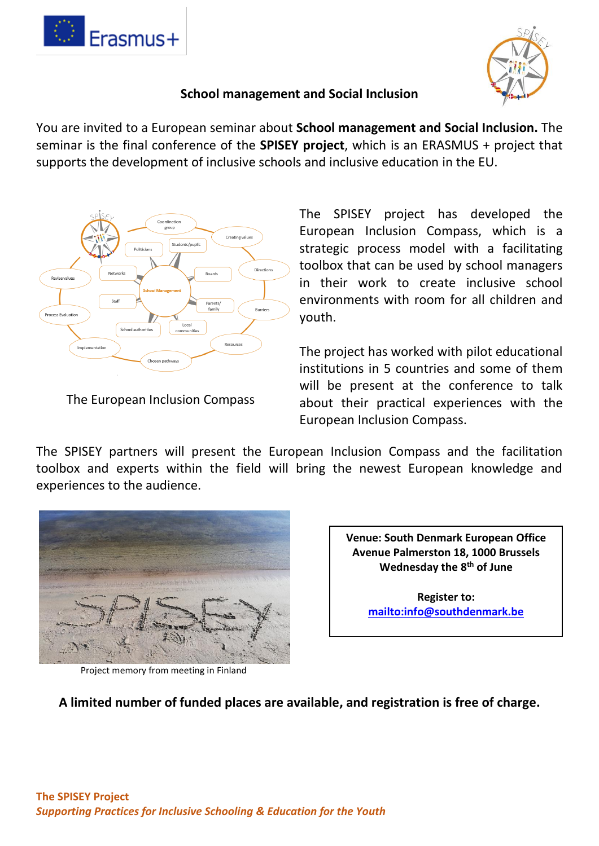



## **School management and Social Inclusion**

You are invited to a European seminar about **School management and Social Inclusion.** The seminar is the final conference of the **SPISEY project**, which is an ERASMUS + project that supports the development of inclusive schools and inclusive education in the EU.



The European Inclusion Compass

The SPISEY project has developed the European Inclusion Compass, which is a strategic process model with a facilitating toolbox that can be used by school managers in their work to create inclusive school environments with room for all children and youth.

The project has worked with pilot educational institutions in 5 countries and some of them will be present at the conference to talk about their practical experiences with the European Inclusion Compass.

The SPISEY partners will present the European Inclusion Compass and the facilitation toolbox and experts within the field will bring the newest European knowledge and experiences to the audience.



Project memory from meeting in Finland

**Venue: South Denmark European Office Avenue Palmerston 18, 1000 Brussels Wednesday the 8th of June**

> **Register to: <mailto:info@southdenmark.be>**

**A limited number of funded places are available, and registration is free of charge.**